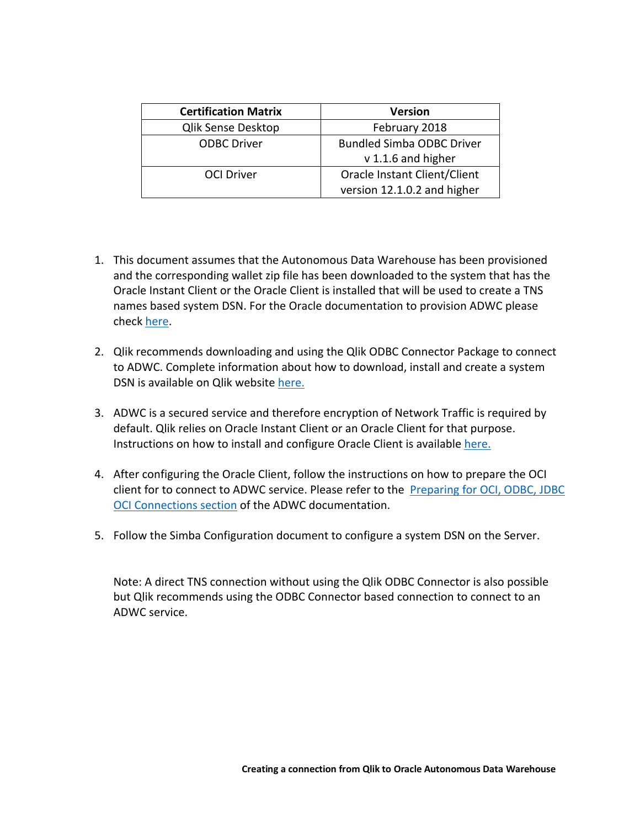| <b>Certification Matrix</b> | <b>Version</b>                   |  |
|-----------------------------|----------------------------------|--|
| <b>Qlik Sense Desktop</b>   | February 2018                    |  |
| <b>ODBC Driver</b>          | <b>Bundled Simba ODBC Driver</b> |  |
|                             | v 1.1.6 and higher               |  |
| <b>OCI Driver</b>           | Oracle Instant Client/Client     |  |
|                             | version 12.1.0.2 and higher      |  |

- 1. This document assumes that the Autonomous Data Warehouse has been provisioned and the corresponding wallet zip file has been downloaded to the system that has the Oracle Instant Client or the Oracle Client is installed that will be used to create a TNS names based system DSN. For the Oracle documentation to provision ADWC please check here.
- 2. Qlik recommends downloading and using the Qlik ODBC Connector Package to connect to ADWC. Complete information about how to download, install and create a system DSN is available on Qlik website here.
- 3. ADWC is a secured service and therefore encryption of Network Traffic is required by default. Qlik relies on Oracle Instant Client or an Oracle Client for that purpose. Instructions on how to install and configure Oracle Client is available here.
- 4. After configuring the Oracle Client, follow the instructions on how to prepare the OCI client for to connect to ADWC service. Please refer to the Preparing for OCI, ODBC, JDBC OCI Connections section of the ADWC documentation.
- 5. Follow the Simba Configuration document to configure a system DSN on the Server.

 Note: A direct TNS connection without using the Qlik ODBC Connector is also possible but Qlik recommends using the ODBC Connector based connection to connect to an ADWC service.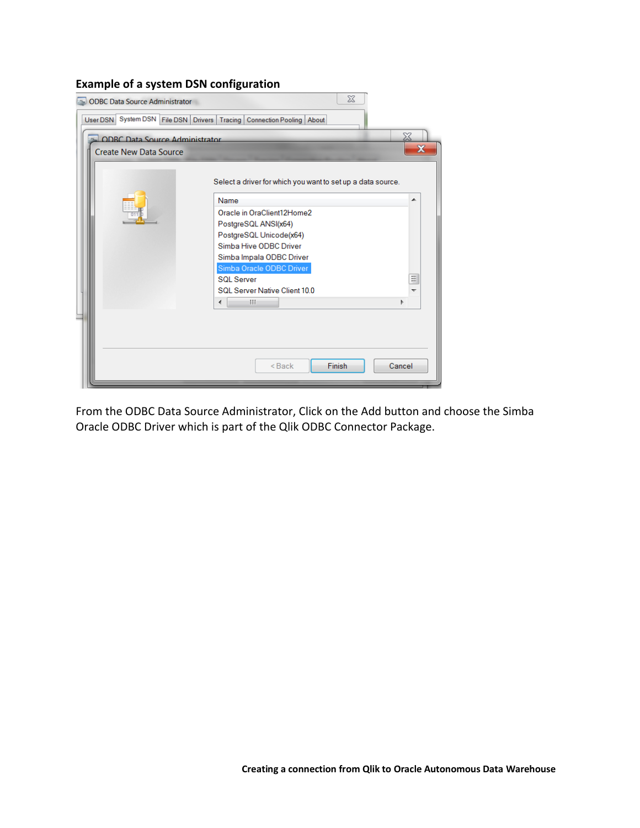## **Example of a system DSN configuration**

|                                                                       | <b>ODBC</b> Data Source Administrator                       | $\Sigma$                                             |        |  |  |
|-----------------------------------------------------------------------|-------------------------------------------------------------|------------------------------------------------------|--------|--|--|
| User DSN System DSN File DSN Drivers Tracing Connection Pooling About |                                                             |                                                      |        |  |  |
|                                                                       | Х<br><b>ODRC Data Source Administrator</b>                  |                                                      |        |  |  |
|                                                                       | $\mathbf x$<br><b>Create New Data Source</b>                |                                                      |        |  |  |
|                                                                       | Select a driver for which you want to set up a data source. |                                                      |        |  |  |
|                                                                       |                                                             | Name                                                 | ▴      |  |  |
|                                                                       |                                                             | Oracle in OraClient12Home2                           |        |  |  |
|                                                                       |                                                             | PostgreSQL ANSI(x64)                                 |        |  |  |
|                                                                       |                                                             | PostgreSQL Unicode(x64)                              |        |  |  |
|                                                                       |                                                             | Simba Hive ODBC Driver                               |        |  |  |
|                                                                       |                                                             | Simba Impala ODBC Driver<br>Simba Oracle ODBC Driver |        |  |  |
|                                                                       |                                                             | <b>SQL Server</b>                                    | Ξ      |  |  |
|                                                                       |                                                             | SQL Server Native Client 10.0                        | ↽      |  |  |
|                                                                       |                                                             | Ш<br>∢                                               |        |  |  |
|                                                                       |                                                             |                                                      |        |  |  |
|                                                                       |                                                             |                                                      |        |  |  |
|                                                                       |                                                             | <b>Finish</b><br>$Back$                              | Cancel |  |  |

 From the ODBC Data Source Administrator, Click on the Add button and choose the Simba Oracle ODBC Driver which is part of the Qlik ODBC Connector Package.